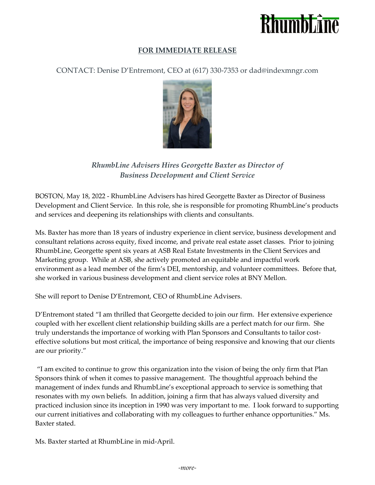

## **FOR IMMEDIATE RELEASE**

CONTACT: Denise D'Entremont, CEO at (617) 330-7353 or dad@indexmngr.com



*RhumbLine Advisers Hires Georgette Baxter as Director of Business Development and Client Service*

BOSTON, May 18, 2022 - RhumbLine Advisers has hired Georgette Baxter as Director of Business Development and Client Service. In this role, she is responsible for promoting RhumbLine's products and services and deepening its relationships with clients and consultants.

Ms. Baxter has more than 18 years of industry experience in client service, business development and consultant relations across equity, fixed income, and private real estate asset classes. Prior to joining RhumbLine, Georgette spent six years at ASB Real Estate Investments in the Client Services and Marketing group. While at ASB, she actively promoted an equitable and impactful work environment as a lead member of the firm's DEI, mentorship, and volunteer committees. Before that, she worked in various business development and client service roles at BNY Mellon.

She will report to Denise D'Entremont, CEO of RhumbLine Advisers.

D'Entremont stated "I am thrilled that Georgette decided to join our firm. Her extensive experience coupled with her excellent client relationship building skills are a perfect match for our firm. She truly understands the importance of working with Plan Sponsors and Consultants to tailor costeffective solutions but most critical, the importance of being responsive and knowing that our clients are our priority."

"I am excited to continue to grow this organization into the vision of being the only firm that Plan Sponsors think of when it comes to passive management. The thoughtful approach behind the management of index funds and RhumbLine's exceptional approach to service is something that resonates with my own beliefs. In addition, joining a firm that has always valued diversity and practiced inclusion since its inception in 1990 was very important to me. I look forward to supporting our current initiatives and collaborating with my colleagues to further enhance opportunities." Ms. Baxter stated.

Ms. Baxter started at RhumbLine in mid-April.